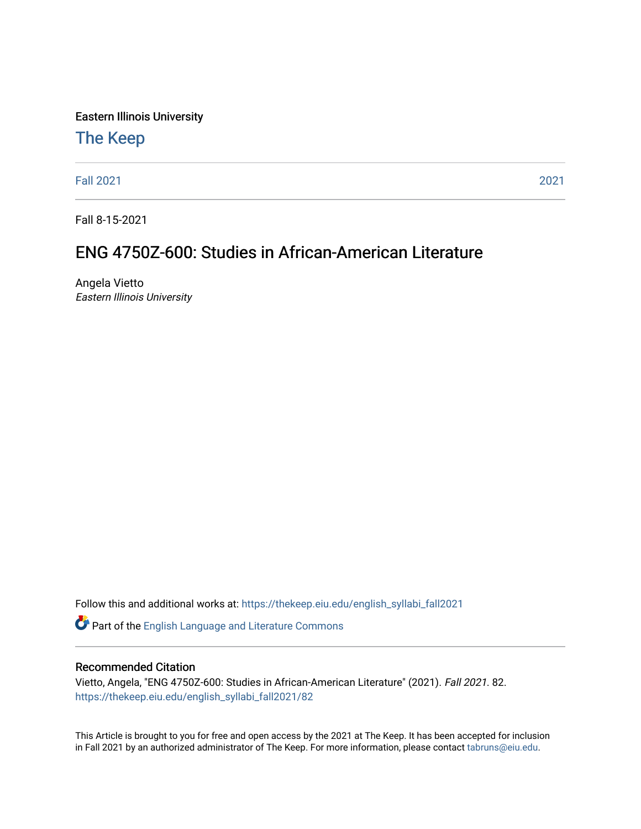Eastern Illinois University

# [The Keep](https://thekeep.eiu.edu/)

[Fall 2021](https://thekeep.eiu.edu/english_syllabi_fall2021) [2021](https://thekeep.eiu.edu/english_syllabi2021) 

Fall 8-15-2021

# ENG 4750Z-600: Studies in African-American Literature

Angela Vietto Eastern Illinois University

Follow this and additional works at: [https://thekeep.eiu.edu/english\\_syllabi\\_fall2021](https://thekeep.eiu.edu/english_syllabi_fall2021?utm_source=thekeep.eiu.edu%2Fenglish_syllabi_fall2021%2F82&utm_medium=PDF&utm_campaign=PDFCoverPages) 

Part of the [English Language and Literature Commons](http://network.bepress.com/hgg/discipline/455?utm_source=thekeep.eiu.edu%2Fenglish_syllabi_fall2021%2F82&utm_medium=PDF&utm_campaign=PDFCoverPages)

# Recommended Citation

Vietto, Angela, "ENG 4750Z-600: Studies in African-American Literature" (2021). Fall 2021. 82. [https://thekeep.eiu.edu/english\\_syllabi\\_fall2021/82](https://thekeep.eiu.edu/english_syllabi_fall2021/82?utm_source=thekeep.eiu.edu%2Fenglish_syllabi_fall2021%2F82&utm_medium=PDF&utm_campaign=PDFCoverPages)

This Article is brought to you for free and open access by the 2021 at The Keep. It has been accepted for inclusion in Fall 2021 by an authorized administrator of The Keep. For more information, please contact [tabruns@eiu.edu](mailto:tabruns@eiu.edu).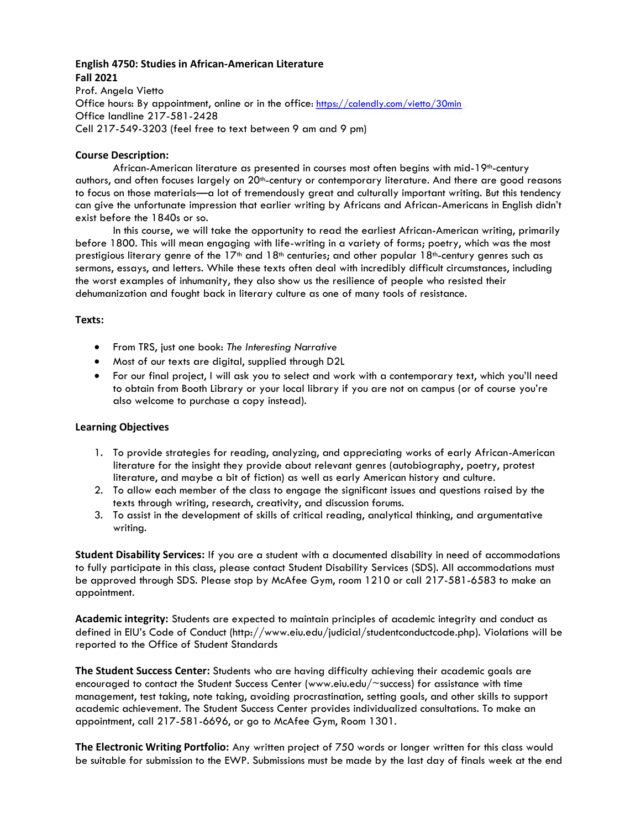# **English 4750: Studies in African-American Literature Fall 2021**

Prof. Angela Vietto Office hours: By appointment, online or in the office:<https://calendly.com/vietto/30min> Office landline 217-581-2428 Cell 217-549-3203 (feel free to text between 9 am and 9 pm)

# **Course Description:**

African-American literature as presented in courses most often begins with mid-19th-century authors, and often focuses largely on 20th-century or contemporary literature. And there are good reasons to focus on those materials—a lot of tremendously great and culturally important writing. But this tendency can give the unfortunate impression that earlier writing by Africans and African-Americans in English didn't exist before the 1840s or so.

In this course, we will take the opportunity to read the earliest African-American writing, primarily before 1800. This will mean engaging with life-writing in a variety of forms; poetry, which was the most prestigious literary genre of the  $17<sup>th</sup>$  and  $18<sup>th</sup>$  centuries; and other popular  $18<sup>th</sup>$ -century genres such as sermons, essays, and letters. While these texts often deal with incredibly difficult circumstances, including the worst examples of inhumanity, they also show us the resilience of people who resisted their dehumanization and fought back in literary culture as one of many tools of resistance.

# **Texts:**

- From TRS, just one book: *The Interesting Narrative*
- Most of our texts are digital, supplied through D2L
- For our final project, I will ask you to select and work with a contemporary text, which you'll need to obtain from Booth Library or your local library if you are not on campus (or of course you're also welcome to purchase a copy instead).

#### **Learning Objectives**

- 1. To provide strategies for reading, analyzing, and appreciating works of early African-American literature for the insight they provide about relevant genres (autobiography, poetry, protest literature, and maybe a bit of fiction) as well as early American history and culture.
- 2. To allow each member of the class to engage the significant issues and questions raised by the texts through writing, research, creativity, and discussion forums.
- 3. To assist in the development of skills of critical reading, analytical thinking, and argumentative writing.

**Student Disability Services:** If you are a student with a documented disability in need of accommodations to fully participate in this class, please contact Student Disability Services (SDS). All accommodations must be approved through SDS. Please stop by McAfee Gym, room 1210 or call 217-581-6583 to make an appointment.

**Academic integrity:** Students are expected to maintain principles of academic integrity and conduct as defined in EIU's Code of Conduct (http://www.eiu.edu/judicial/studentconductcode.php). Violations will be reported to the Office of Student Standards

**The Student Success Center:** Students who are having difficulty achieving their academic goals are encouraged to contact the Student Success Center (www.eiu.edu/~success) for assistance with time management, test taking, note taking, avoiding procrastination, setting goals, and other skills to support academic achievement. The Student Success Center provides individualized consultations. To make an appointment, call 217-581-6696, or go to McAfee Gym, Room 1301.

**The Electronic Writing Portfolio:** Any written project of 750 words or longer written for this class would be suitable for submission to the EWP. Submissions must be made by the last day of finals week at the end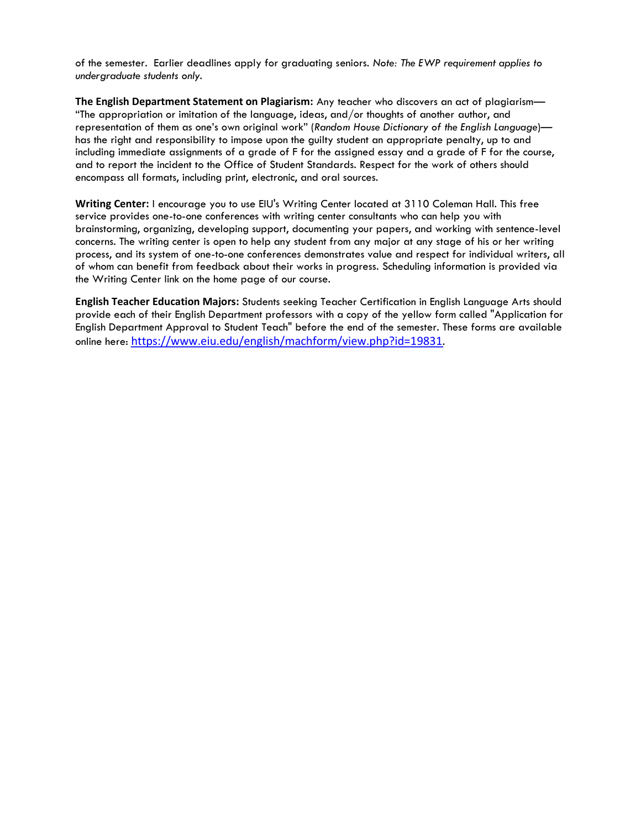of the semester. Earlier deadlines apply for graduating seniors. *Note: The EWP requirement applies to undergraduate students only.*

**The English Department Statement on Plagiarism:** Any teacher who discovers an act of plagiarism— "The appropriation or imitation of the language, ideas, and/or thoughts of another author, and representation of them as one's own original work" (*Random House Dictionary of the English Language*) has the right and responsibility to impose upon the guilty student an appropriate penalty, up to and including immediate assignments of a grade of F for the assigned essay and a grade of F for the course, and to report the incident to the Office of Student Standards. Respect for the work of others should encompass all formats, including print, electronic, and oral sources.

**Writing Center:** I encourage you to use EIU's Writing Center located at 3110 Coleman Hall. This free service provides one-to-one conferences with writing center consultants who can help you with brainstorming, organizing, developing support, documenting your papers, and working with sentence-level concerns. The writing center is open to help any student from any major at any stage of his or her writing process, and its system of one-to-one conferences demonstrates value and respect for individual writers, all of whom can benefit from feedback about their works in progress. Scheduling information is provided via the Writing Center link on the home page of our course.

**English Teacher Education Majors:** Students seeking Teacher Certification in English Language Arts should provide each of their English Department professors with a copy of the yellow form called "Application for English Department Approval to Student Teach" before the end of the semester. These forms are available online here: <https://www.eiu.edu/english/machform/view.php?id=19831>.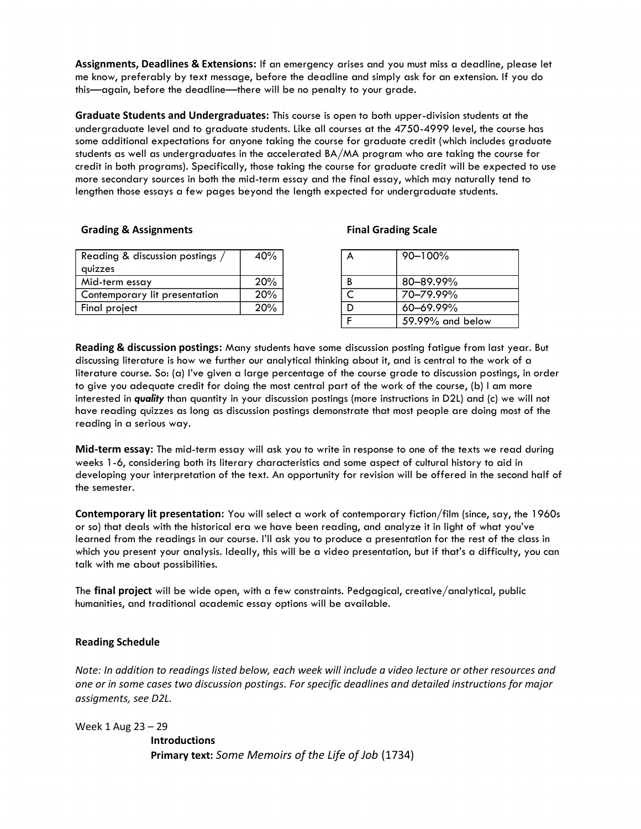**Assignments, Deadlines & Extensions:** If an emergency arises and you must miss a deadline, please let me know, preferably by text message, before the deadline and simply ask for an extension. If you do this—again, before the deadline—there will be no penalty to your grade.

**Graduate Students and Undergraduates:** This course is open to both upper-division students at the undergraduate level and to graduate students. Like all courses at the 4750-4999 level, the course has some additional expectations for anyone taking the course for graduate credit (which includes graduate students as well as undergraduates in the accelerated BA/MA program who are taking the course for credit in both programs). Specifically, those taking the course for graduate credit will be expected to use more secondary sources in both the mid-term essay and the final essay, which may naturally tend to lengthen those essays a few pages beyond the length expected for undergraduate students.

#### **Grading & Assignments Final Grading Scale**

| Reading & discussion postings | 40% |  | $90 - 100\%$ |
|-------------------------------|-----|--|--------------|
| quizzes                       |     |  |              |
| Mid-term essay                | 20% |  | 80-89.99%    |
| Contemporary lit presentation | 20% |  | 70-79.99%    |
| Final project                 | 20% |  | 60-69.99%    |
|                               |     |  |              |

| 40% | А | 90-100%          |
|-----|---|------------------|
|     |   |                  |
| 20% | B | 80-89.99%        |
| 20% |   | 70-79.99%        |
| 20% |   | 60-69.99%        |
|     |   | 59.99% and below |

**Reading & discussion postings:** Many students have some discussion posting fatigue from last year. But discussing literature is how we further our analytical thinking about it, and is central to the work of a literature course. So: (a) I've given a large percentage of the course grade to discussion postings, in order to give you adequate credit for doing the most central part of the work of the course, (b) I am more interested in *quality* than quantity in your discussion postings (more instructions in D2L) and (c) we will not have reading quizzes as long as discussion postings demonstrate that most people are doing most of the reading in a serious way.

**Mid-term essay:** The mid-term essay will ask you to write in response to one of the texts we read during weeks 1-6, considering both its literary characteristics and some aspect of cultural history to aid in developing your interpretation of the text. An opportunity for revision will be offered in the second half of the semester.

**Contemporary lit presentation:** You will select a work of contemporary fiction/film (since, say, the 1960s or so) that deals with the historical era we have been reading, and analyze it in light of what you've learned from the readings in our course. I'll ask you to produce a presentation for the rest of the class in which you present your analysis. Ideally, this will be a video presentation, but if that's a difficulty, you can talk with me about possibilities.

The **final project** will be wide open, with a few constraints. Pedgagical, creative/analytical, public humanities, and traditional academic essay options will be available.

#### **Reading Schedule**

*Note: In addition to readings listed below, each week will include a video lecture or other resources and one or in some cases two discussion postings. For specific deadlines and detailed instructions for major assigments, see D2L.*

Week 1 Aug 23 – 29

**Introductions Primary text:** *Some Memoirs of the Life of Job* (1734)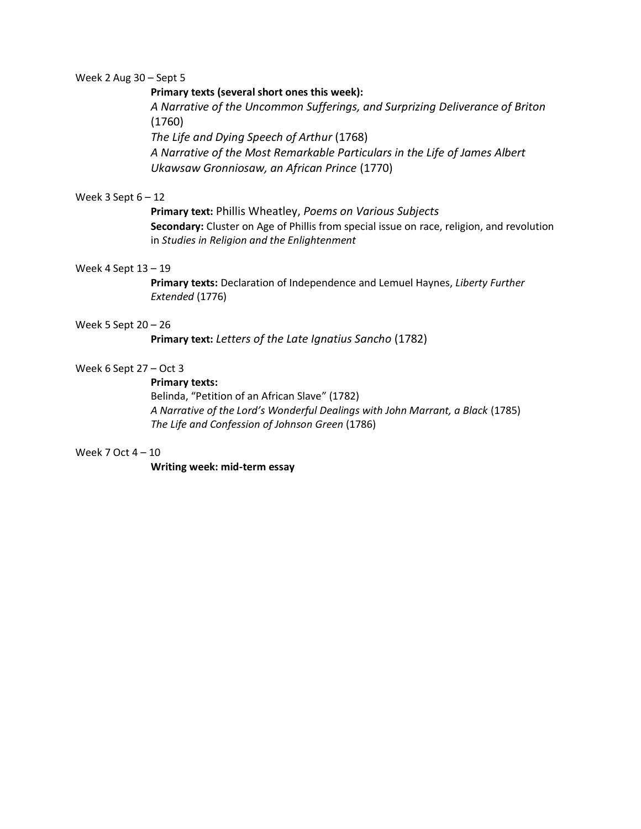#### Week 2 Aug 30 – Sept 5

# **Primary texts (several short ones this week):**

*A Narrative of the Uncommon Sufferings, and Surprizing Deliverance of Briton* (1760)

*The Life and Dying Speech of Arthur* (1768)

*A Narrative of the Most Remarkable Particulars in the Life of James Albert Ukawsaw Gronniosaw, an African Prince* (1770)

### Week 3 Sept  $6 - 12$

**Primary text:** Phillis Wheatley, *Poems on Various Subjects* **Secondary:** Cluster on Age of Phillis from special issue on race, religion, and revolution in *Studies in Religion and the Enlightenment*

# Week 4 Sept 13 – 19

**Primary texts:** Declaration of Independence and Lemuel Haynes, *Liberty Further Extended* (1776)

# Week 5 Sept 20 – 26

**Primary text:** *Letters of the Late Ignatius Sancho* (1782)

# Week 6 Sept 27 – Oct 3

# **Primary texts:**

Belinda, "Petition of an African Slave" (1782) *A Narrative of the Lord's Wonderful Dealings with John Marrant, a Black* (1785) *The Life and Confession of Johnson Green* (1786)

#### Week 7 Oct 4 – 10

**Writing week: mid-term essay**